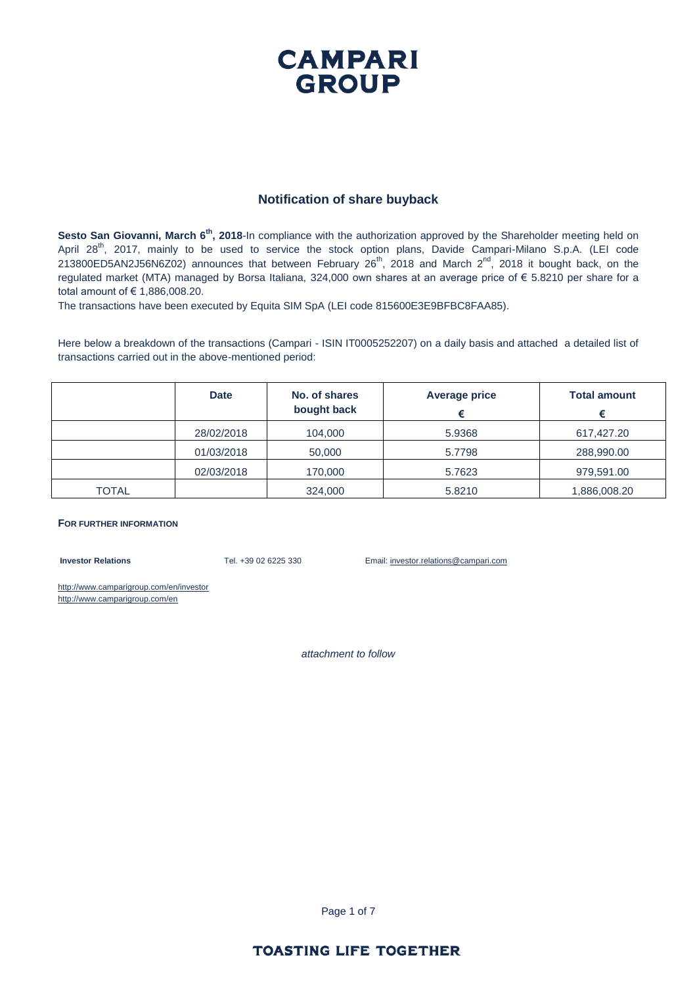### **CAMPARI GROUP**

#### **Notification of share buyback**

Sesto San Giovanni, March 6<sup>th</sup>, 2018-In compliance with the authorization approved by the Shareholder meeting held on April 28<sup>th</sup>, 2017, mainly to be used to service the stock option plans, Davide Campari-Milano S.p.A. (LEI code 213800ED5AN2J56N6Z02) announces that between February 26<sup>th</sup>, 2018 and March 2<sup>nd</sup>, 2018 it bought back, on the regulated market (MTA) managed by Borsa Italiana, 324,000 own shares at an average price of € 5.8210 per share for a total amount of € 1,886,008.20.

The transactions have been executed by Equita SIM SpA (LEI code 815600E3E9BFBC8FAA85).

Here below a breakdown of the transactions (Campari - ISIN IT0005252207) on a daily basis and attached a detailed list of transactions carried out in the above-mentioned period:

|       | <b>Date</b> | No. of shares<br>bought back | Average price | <b>Total amount</b> |
|-------|-------------|------------------------------|---------------|---------------------|
|       | 28/02/2018  | 104,000                      | 5.9368        | 617,427.20          |
|       | 01/03/2018  | 50,000                       | 5.7798        | 288,990.00          |
|       | 02/03/2018  | 170,000                      | 5.7623        | 979,591.00          |
| TOTAL |             | 324,000                      | 5.8210        | 1,886,008.20        |

#### **FOR FURTHER INFORMATION**

**Investor Relations** Tel. +39 02 6225 330 Email: investor.relations@campari.com

http://www.camparigroup.com/en/investor http://www.camparigroup.com/en

*attachment to follow*

Page 1 of 7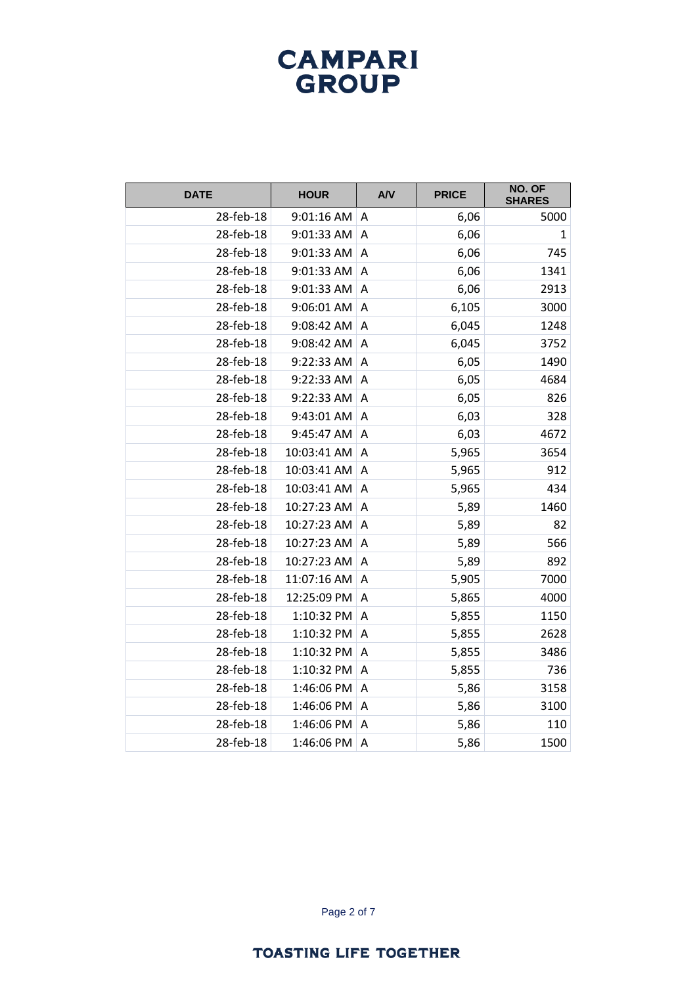| <b>DATE</b> | <b>HOUR</b> | <b>A/V</b>     | <b>PRICE</b> | NO. OF<br><b>SHARES</b> |
|-------------|-------------|----------------|--------------|-------------------------|
| 28-feb-18   | 9:01:16 AM  | A              | 6,06         | 5000                    |
| 28-feb-18   | 9:01:33 AM  | A              | 6,06         | 1                       |
| 28-feb-18   | 9:01:33 AM  | A              | 6,06         | 745                     |
| 28-feb-18   | 9:01:33 AM  | A              | 6,06         | 1341                    |
| 28-feb-18   | 9:01:33 AM  | A              | 6,06         | 2913                    |
| 28-feb-18   | 9:06:01 AM  | $\overline{A}$ | 6,105        | 3000                    |
| 28-feb-18   | 9:08:42 AM  | A              | 6,045        | 1248                    |
| 28-feb-18   | 9:08:42 AM  | A              | 6,045        | 3752                    |
| 28-feb-18   | 9:22:33 AM  | $\overline{A}$ | 6,05         | 1490                    |
| 28-feb-18   | 9:22:33 AM  | A              | 6,05         | 4684                    |
| 28-feb-18   | 9:22:33 AM  | A              | 6,05         | 826                     |
| 28-feb-18   | 9:43:01 AM  | A              | 6,03         | 328                     |
| 28-feb-18   | 9:45:47 AM  | A              | 6,03         | 4672                    |
| 28-feb-18   | 10:03:41 AM | $\overline{A}$ | 5,965        | 3654                    |
| 28-feb-18   | 10:03:41 AM | A              | 5,965        | 912                     |
| 28-feb-18   | 10:03:41 AM | A              | 5,965        | 434                     |
| 28-feb-18   | 10:27:23 AM | $\overline{A}$ | 5,89         | 1460                    |
| 28-feb-18   | 10:27:23 AM | A              | 5,89         | 82                      |
| 28-feb-18   | 10:27:23 AM | A              | 5,89         | 566                     |
| 28-feb-18   | 10:27:23 AM | $\overline{A}$ | 5,89         | 892                     |
| 28-feb-18   | 11:07:16 AM | A              | 5,905        | 7000                    |
| 28-feb-18   | 12:25:09 PM | $\overline{A}$ | 5,865        | 4000                    |
| 28-feb-18   | 1:10:32 PM  | A              | 5,855        | 1150                    |
| 28-feb-18   | 1:10:32 PM  | Α              | 5,855        | 2628                    |
| 28-feb-18   | 1:10:32 PM  | A              | 5,855        | 3486                    |
| 28-feb-18   | 1:10:32 PM  | A              | 5,855        | 736                     |
| 28-feb-18   | 1:46:06 PM  | A              | 5,86         | 3158                    |
| 28-feb-18   | 1:46:06 PM  | $\overline{A}$ | 5,86         | 3100                    |
| 28-feb-18   | 1:46:06 PM  | A              | 5,86         | 110                     |
| 28-feb-18   | 1:46:06 PM  | A              | 5,86         | 1500                    |

Page 2 of 7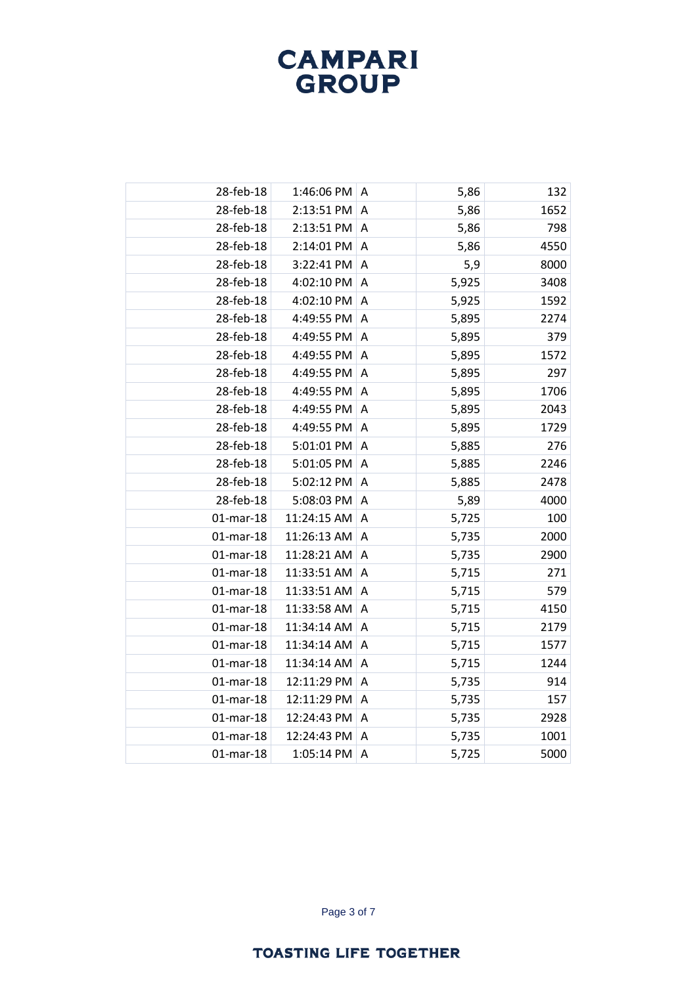| 28-feb-18    | 1:46:06 PM  | Α                       | 5,86  | 132  |
|--------------|-------------|-------------------------|-------|------|
| 28-feb-18    | 2:13:51 PM  | A                       | 5,86  | 1652 |
| 28-feb-18    | 2:13:51 PM  | A                       | 5,86  | 798  |
| 28-feb-18    | 2:14:01 PM  | A                       | 5,86  | 4550 |
| 28-feb-18    | 3:22:41 PM  | A                       | 5,9   | 8000 |
| 28-feb-18    | 4:02:10 PM  | A                       | 5,925 | 3408 |
| 28-feb-18    | 4:02:10 PM  | A                       | 5,925 | 1592 |
| 28-feb-18    | 4:49:55 PM  | $\overline{\mathsf{A}}$ | 5,895 | 2274 |
| 28-feb-18    | 4:49:55 PM  | A                       | 5,895 | 379  |
| 28-feb-18    | 4:49:55 PM  | A                       | 5,895 | 1572 |
| 28-feb-18    | 4:49:55 PM  | $\overline{A}$          | 5,895 | 297  |
| 28-feb-18    | 4:49:55 PM  | A                       | 5,895 | 1706 |
| 28-feb-18    | 4:49:55 PM  | A                       | 5,895 | 2043 |
| 28-feb-18    | 4:49:55 PM  | $\overline{\mathsf{A}}$ | 5,895 | 1729 |
| 28-feb-18    | 5:01:01 PM  | A                       | 5,885 | 276  |
| 28-feb-18    | 5:01:05 PM  | Α                       | 5,885 | 2246 |
| 28-feb-18    | 5:02:12 PM  | A                       | 5,885 | 2478 |
| 28-feb-18    | 5:08:03 PM  | A                       | 5,89  | 4000 |
| $01$ -mar-18 | 11:24:15 AM | Α                       | 5,725 | 100  |
| $01$ -mar-18 | 11:26:13 AM | $\overline{A}$          | 5,735 | 2000 |
| $01$ -mar-18 | 11:28:21 AM | A                       | 5,735 | 2900 |
| $01$ -mar-18 | 11:33:51 AM | Α                       | 5,715 | 271  |
| $01$ -mar-18 | 11:33:51 AM | A                       | 5,715 | 579  |
| $01$ -mar-18 | 11:33:58 AM | A                       | 5,715 | 4150 |
| $01$ -mar-18 | 11:34:14 AM | A                       | 5,715 | 2179 |
| $01$ -mar-18 | 11:34:14 AM | $\overline{A}$          | 5,715 | 1577 |
| $01$ -mar-18 | 11:34:14 AM | A                       | 5,715 | 1244 |
| $01$ -mar-18 | 12:11:29 PM | Α                       | 5,735 | 914  |
| $01$ -mar-18 | 12:11:29 PM | A                       | 5,735 | 157  |
| $01$ -mar-18 | 12:24:43 PM | A                       | 5,735 | 2928 |
| $01$ -mar-18 | 12:24:43 PM | Α                       | 5,735 | 1001 |
| $01$ -mar-18 | 1:05:14 PM  | A                       | 5,725 | 5000 |

Page 3 of 7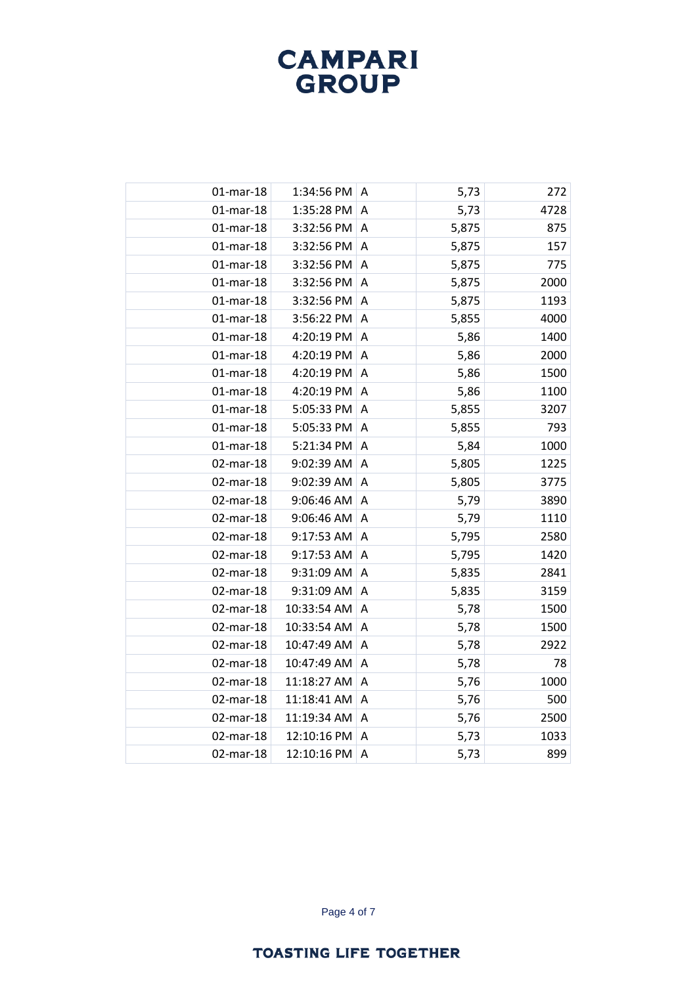| $01$ -mar-18 | 1:34:56 PM  | Α                       | 5,73  | 272  |
|--------------|-------------|-------------------------|-------|------|
| $01$ -mar-18 | 1:35:28 PM  | A                       | 5,73  | 4728 |
| $01$ -mar-18 | 3:32:56 PM  | A                       | 5,875 | 875  |
| $01$ -mar-18 | 3:32:56 PM  | A                       | 5,875 | 157  |
| $01$ -mar-18 | 3:32:56 PM  | $\overline{A}$          | 5,875 | 775  |
| $01$ -mar-18 | 3:32:56 PM  | A                       | 5,875 | 2000 |
| $01$ -mar-18 | 3:32:56 PM  | $\overline{A}$          | 5,875 | 1193 |
| $01$ -mar-18 | 3:56:22 PM  | $\overline{\mathsf{A}}$ | 5,855 | 4000 |
| $01$ -mar-18 | 4:20:19 PM  | A                       | 5,86  | 1400 |
| $01$ -mar-18 | 4:20:19 PM  | A                       | 5,86  | 2000 |
| $01$ -mar-18 | 4:20:19 PM  | $\overline{A}$          | 5,86  | 1500 |
| $01$ -mar-18 | 4:20:19 PM  | A                       | 5,86  | 1100 |
| $01$ -mar-18 | 5:05:33 PM  | A                       | 5,855 | 3207 |
| $01$ -mar-18 | 5:05:33 PM  | $\overline{A}$          | 5,855 | 793  |
| $01$ -mar-18 | 5:21:34 PM  | A                       | 5,84  | 1000 |
| 02-mar-18    | 9:02:39 AM  | Α                       | 5,805 | 1225 |
| 02-mar-18    | 9:02:39 AM  | $\overline{A}$          | 5,805 | 3775 |
| 02-mar-18    | 9:06:46 AM  | $\overline{A}$          | 5,79  | 3890 |
| 02-mar-18    | 9:06:46 AM  | Α                       | 5,79  | 1110 |
| 02-mar-18    | 9:17:53 AM  | A                       | 5,795 | 2580 |
| 02-mar-18    | 9:17:53 AM  | A                       | 5,795 | 1420 |
| 02-mar-18    | 9:31:09 AM  | A                       | 5,835 | 2841 |
| 02-mar-18    | 9:31:09 AM  | A                       | 5,835 | 3159 |
| 02-mar-18    | 10:33:54 AM | $\overline{A}$          | 5,78  | 1500 |
| 02-mar-18    | 10:33:54 AM | A                       | 5,78  | 1500 |
| 02-mar-18    | 10:47:49 AM | $\overline{A}$          | 5,78  | 2922 |
| 02-mar-18    | 10:47:49 AM | A                       | 5,78  | 78   |
| 02-mar-18    | 11:18:27 AM | A                       | 5,76  | 1000 |
| 02-mar-18    | 11:18:41 AM | A                       | 5,76  | 500  |
| 02-mar-18    | 11:19:34 AM | $\overline{A}$          | 5,76  | 2500 |
| 02-mar-18    | 12:10:16 PM | Α                       | 5,73  | 1033 |
| 02-mar-18    | 12:10:16 PM | A                       | 5,73  | 899  |
|              |             |                         |       |      |

Page 4 of 7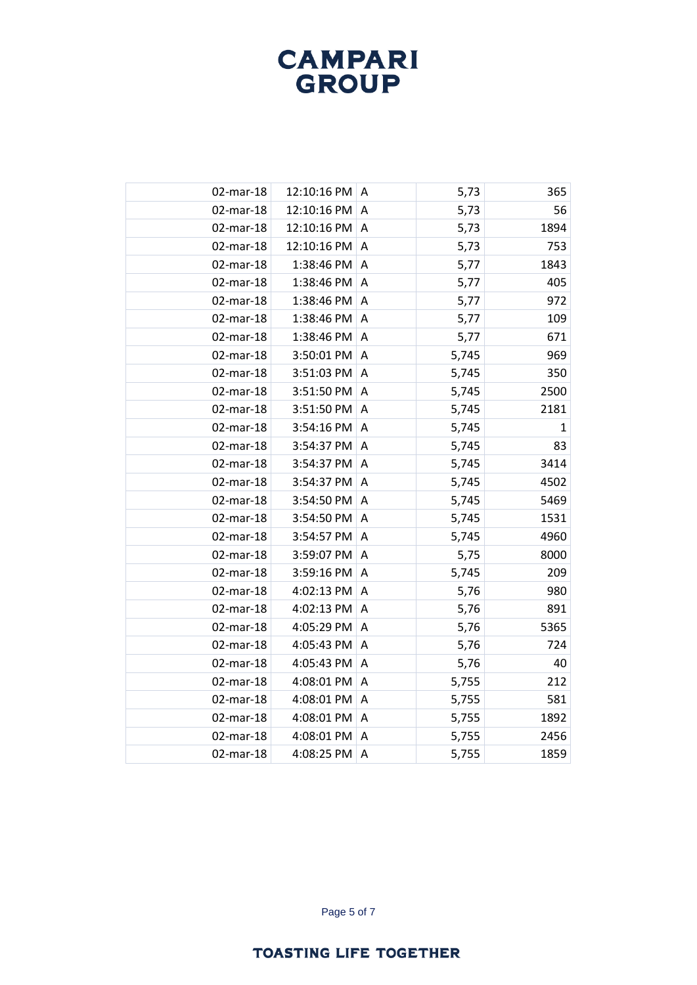| 02-mar-18 | 12:10:16 PM     | Α                       | 5,73  | 365          |
|-----------|-----------------|-------------------------|-------|--------------|
| 02-mar-18 | 12:10:16 PM     | A                       | 5,73  | 56           |
| 02-mar-18 | 12:10:16 PM     | A                       | 5,73  | 1894         |
| 02-mar-18 | 12:10:16 PM     | A                       | 5,73  | 753          |
| 02-mar-18 | 1:38:46 PM      | $\overline{A}$          | 5,77  | 1843         |
| 02-mar-18 | 1:38:46 PM      | A                       | 5,77  | 405          |
| 02-mar-18 | 1:38:46 PM      | A                       | 5,77  | 972          |
| 02-mar-18 | 1:38:46 PM      | $\overline{A}$          | 5,77  | 109          |
| 02-mar-18 | 1:38:46 PM      | A                       | 5,77  | 671          |
| 02-mar-18 | 3:50:01 PM      | A                       | 5,745 | 969          |
| 02-mar-18 | 3:51:03 PM      | $\overline{A}$          | 5,745 | 350          |
| 02-mar-18 | 3:51:50 PM      | $\overline{\mathsf{A}}$ | 5,745 | 2500         |
| 02-mar-18 | 3:51:50 PM      | A                       | 5,745 | 2181         |
| 02-mar-18 | 3:54:16 PM      | A                       | 5,745 | $\mathbf{1}$ |
| 02-mar-18 | 3:54:37 PM      | A                       | 5,745 | 83           |
| 02-mar-18 | 3:54:37 PM      | A                       | 5,745 | 3414         |
| 02-mar-18 | 3:54:37 PM      | $\overline{A}$          | 5,745 | 4502         |
| 02-mar-18 | 3:54:50 PM      | $\overline{A}$          | 5,745 | 5469         |
| 02-mar-18 | 3:54:50 PM A    |                         | 5,745 | 1531         |
| 02-mar-18 | 3:54:57 PM      | A                       | 5,745 | 4960         |
| 02-mar-18 | 3:59:07 PM      | A                       | 5,75  | 8000         |
| 02-mar-18 | 3:59:16 PM      | A                       | 5,745 | 209          |
| 02-mar-18 | 4:02:13 PM      | $\overline{A}$          | 5,76  | 980          |
| 02-mar-18 | 4:02:13 PM      | A                       | 5,76  | 891          |
| 02-mar-18 | 4:05:29 PM $ A$ |                         | 5,76  | 5365         |
| 02-mar-18 | 4:05:43 PM      | A                       | 5,76  | 724          |
| 02-mar-18 | 4:05:43 PM      | $\overline{A}$          | 5,76  | 40           |
| 02-mar-18 | 4:08:01 PM      | $\overline{A}$          | 5,755 | 212          |
| 02-mar-18 | 4:08:01 PM      | A                       | 5,755 | 581          |
| 02-mar-18 | 4:08:01 PM      | $\overline{A}$          | 5,755 | 1892         |
| 02-mar-18 | 4:08:01 PM      | A                       | 5,755 | 2456         |
| 02-mar-18 | 4:08:25 PM      | A                       | 5,755 | 1859         |
|           |                 |                         |       |              |

Page 5 of 7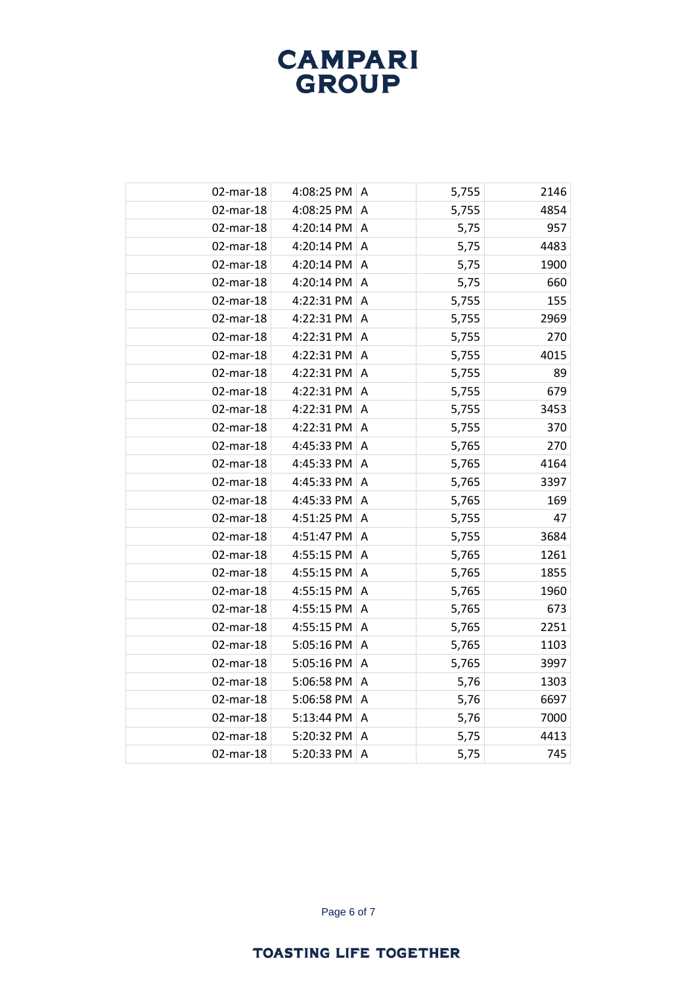| 02-mar-18 | 4:08:25 PM       | A                       | 5,755 | 2146 |
|-----------|------------------|-------------------------|-------|------|
| 02-mar-18 | 4:08:25 PM       | A                       | 5,755 | 4854 |
| 02-mar-18 | 4:20:14 PM       | A                       | 5,75  | 957  |
| 02-mar-18 | 4:20:14 PM       | A                       | 5,75  | 4483 |
| 02-mar-18 | 4:20:14 PM       | $\overline{A}$          | 5,75  | 1900 |
| 02-mar-18 | 4:20:14 PM       | A                       | 5,75  | 660  |
| 02-mar-18 | 4:22:31 PM A     |                         | 5,755 | 155  |
| 02-mar-18 | 4:22:31 PM       | $\overline{A}$          | 5,755 | 2969 |
| 02-mar-18 | 4:22:31 PM       | A                       | 5,755 | 270  |
| 02-mar-18 | 4:22:31 PM A     |                         | 5,755 | 4015 |
| 02-mar-18 | 4:22:31 PM       | $\overline{A}$          | 5,755 | 89   |
| 02-mar-18 | 4:22:31 PM       | A                       | 5,755 | 679  |
| 02-mar-18 | 4:22:31 PM A     |                         | 5,755 | 3453 |
| 02-mar-18 | 4:22:31 PM       | A                       | 5,755 | 370  |
| 02-mar-18 | 4:45:33 PM       | $\overline{\mathsf{A}}$ | 5,765 | 270  |
| 02-mar-18 | 4:45:33 PM A     |                         | 5,765 | 4164 |
| 02-mar-18 | 4:45:33 PM       | A                       | 5,765 | 3397 |
| 02-mar-18 | 4:45:33 PM       | $\overline{A}$          | 5,765 | 169  |
| 02-mar-18 | 4:51:25 PM $ A$  |                         | 5,755 | 47   |
| 02-mar-18 | 4:51:47 PM       | $\overline{A}$          | 5,755 | 3684 |
| 02-mar-18 | 4:55:15 PM       | A                       | 5,765 | 1261 |
| 02-mar-18 | 4:55:15 PM       | $\overline{A}$          | 5,765 | 1855 |
| 02-mar-18 | 4:55:15 PM       | A                       | 5,765 | 1960 |
| 02-mar-18 | 4:55:15 PM       | $\overline{A}$          | 5,765 | 673  |
| 02-mar-18 | 4:55:15 PM $ A $ |                         | 5,765 | 2251 |
| 02-mar-18 | 5:05:16 PM       | A                       | 5,765 | 1103 |
| 02-mar-18 | 5:05:16 PM       | A                       | 5,765 | 3997 |
| 02-mar-18 | 5:06:58 PM       | A                       | 5,76  | 1303 |
| 02-mar-18 | 5:06:58 PM       | A                       | 5,76  | 6697 |
| 02-mar-18 | 5:13:44 PM       | $\overline{A}$          | 5,76  | 7000 |
| 02-mar-18 | 5:20:32 PM       | A                       | 5,75  | 4413 |
| 02-mar-18 | 5:20:33 PM       | A                       | 5,75  | 745  |
|           |                  |                         |       |      |

Page 6 of 7